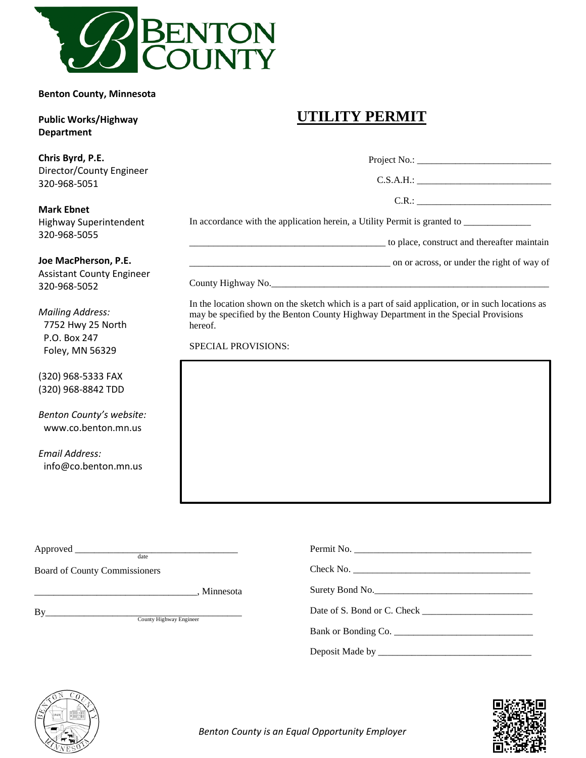

**Benton County, Minnesota**

#### **Public Works/Highway Department**

### **Chris Byrd, P.E.**  Director/County Engineer 320-968-5051

#### **Mark Ebnet** Highway Superintendent

# **UTILITY PERMIT**

| Chris Byrd, P.E.<br>Director/County Engineer                                    | C.S.A.H.:                                                                                                                                                                                         |  |  |  |
|---------------------------------------------------------------------------------|---------------------------------------------------------------------------------------------------------------------------------------------------------------------------------------------------|--|--|--|
| 320-968-5051                                                                    |                                                                                                                                                                                                   |  |  |  |
| <b>Mark Ebnet</b>                                                               | C.R.:                                                                                                                                                                                             |  |  |  |
| <b>Highway Superintendent</b><br>320-968-5055                                   |                                                                                                                                                                                                   |  |  |  |
|                                                                                 | to place, construct and thereafter maintain                                                                                                                                                       |  |  |  |
| Joe MacPherson, P.E.<br><b>Assistant County Engineer</b>                        | on or across, or under the right of way of                                                                                                                                                        |  |  |  |
| 320-968-5052                                                                    |                                                                                                                                                                                                   |  |  |  |
| <b>Mailing Address:</b><br>7752 Hwy 25 North<br>P.O. Box 247<br>Foley, MN 56329 | In the location shown on the sketch which is a part of said application, or in such locations as<br>may be specified by the Benton County Highway Department in the Special Provisions<br>hereof. |  |  |  |
|                                                                                 | <b>SPECIAL PROVISIONS:</b>                                                                                                                                                                        |  |  |  |

(320) 968-5333 FAX (320) 968-8842 TDD

*Benton County's website:* www.co.benton.mn.us

*Email Address:* info@co.benton.mn.us

| date                                 |                     |  |  |
|--------------------------------------|---------------------|--|--|
| Board of County Commissioners        |                     |  |  |
|                                      | Surety Bond No.     |  |  |
| By<br><b>County Highway Engineer</b> |                     |  |  |
|                                      | Bank or Bonding Co. |  |  |
|                                      |                     |  |  |





 *Benton County is an Equal Opportunity Employer*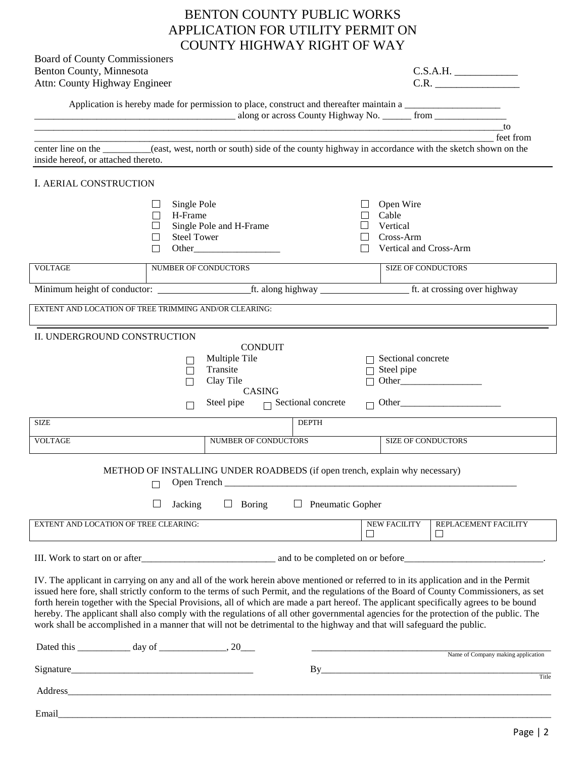| <b>BENTON COUNTY PUBLIC WORKS</b> |
|-----------------------------------|
| APPLICATION FOR UTILITY PERMIT ON |
| COUNTY HIGHWAY RIGHT OF WAY       |

| Board of County Commissioners<br>Benton County, Minnesota                                                                                                                                                                                                                                                                                                                                                                                                                                                                                       |                      |                                                                             |                           |                               | C.S.A.H.                                                                                                                               |  |  |
|-------------------------------------------------------------------------------------------------------------------------------------------------------------------------------------------------------------------------------------------------------------------------------------------------------------------------------------------------------------------------------------------------------------------------------------------------------------------------------------------------------------------------------------------------|----------------------|-----------------------------------------------------------------------------|---------------------------|-------------------------------|----------------------------------------------------------------------------------------------------------------------------------------|--|--|
| Attn: County Highway Engineer                                                                                                                                                                                                                                                                                                                                                                                                                                                                                                                   |                      |                                                                             |                           |                               | C.R.                                                                                                                                   |  |  |
|                                                                                                                                                                                                                                                                                                                                                                                                                                                                                                                                                 |                      |                                                                             |                           |                               |                                                                                                                                        |  |  |
|                                                                                                                                                                                                                                                                                                                                                                                                                                                                                                                                                 |                      |                                                                             |                           |                               |                                                                                                                                        |  |  |
|                                                                                                                                                                                                                                                                                                                                                                                                                                                                                                                                                 |                      |                                                                             |                           |                               | to<br>feet from                                                                                                                        |  |  |
| center line on the _______(east, west, north or south) side of the county highway in accordance with the sketch shown on the                                                                                                                                                                                                                                                                                                                                                                                                                    |                      |                                                                             |                           |                               |                                                                                                                                        |  |  |
| inside hereof, or attached thereto.                                                                                                                                                                                                                                                                                                                                                                                                                                                                                                             |                      |                                                                             |                           |                               |                                                                                                                                        |  |  |
| I. AERIAL CONSTRUCTION                                                                                                                                                                                                                                                                                                                                                                                                                                                                                                                          |                      |                                                                             |                           |                               |                                                                                                                                        |  |  |
| Single Pole                                                                                                                                                                                                                                                                                                                                                                                                                                                                                                                                     |                      |                                                                             |                           | Open Wire                     |                                                                                                                                        |  |  |
| H-Frame                                                                                                                                                                                                                                                                                                                                                                                                                                                                                                                                         |                      |                                                                             |                           | Cable                         |                                                                                                                                        |  |  |
| Single Pole and H-Frame<br><b>Steel Tower</b>                                                                                                                                                                                                                                                                                                                                                                                                                                                                                                   |                      |                                                                             |                           | Vertical<br>Cross-Arm         |                                                                                                                                        |  |  |
|                                                                                                                                                                                                                                                                                                                                                                                                                                                                                                                                                 |                      |                                                                             |                           | Vertical and Cross-Arm        |                                                                                                                                        |  |  |
| <b>VOLTAGE</b>                                                                                                                                                                                                                                                                                                                                                                                                                                                                                                                                  | NUMBER OF CONDUCTORS |                                                                             |                           | <b>SIZE OF CONDUCTORS</b>     |                                                                                                                                        |  |  |
|                                                                                                                                                                                                                                                                                                                                                                                                                                                                                                                                                 |                      |                                                                             |                           |                               |                                                                                                                                        |  |  |
|                                                                                                                                                                                                                                                                                                                                                                                                                                                                                                                                                 |                      |                                                                             |                           |                               |                                                                                                                                        |  |  |
| EXTENT AND LOCATION OF TREE TRIMMING AND/OR CLEARING:                                                                                                                                                                                                                                                                                                                                                                                                                                                                                           |                      |                                                                             |                           |                               |                                                                                                                                        |  |  |
| II. UNDERGROUND CONSTRUCTION                                                                                                                                                                                                                                                                                                                                                                                                                                                                                                                    |                      | <b>CONDUIT</b>                                                              |                           |                               |                                                                                                                                        |  |  |
|                                                                                                                                                                                                                                                                                                                                                                                                                                                                                                                                                 |                      | Multiple Tile                                                               |                           | Sectional concrete            |                                                                                                                                        |  |  |
|                                                                                                                                                                                                                                                                                                                                                                                                                                                                                                                                                 | П                    | Transite                                                                    |                           | Steel pipe                    |                                                                                                                                        |  |  |
|                                                                                                                                                                                                                                                                                                                                                                                                                                                                                                                                                 |                      | Clay Tile                                                                   |                           | П                             | Other                                                                                                                                  |  |  |
|                                                                                                                                                                                                                                                                                                                                                                                                                                                                                                                                                 |                      | <b>CASING</b><br>Steel pipe                                                 | $\Box$ Sectional concrete |                               | $\Box$ Other                                                                                                                           |  |  |
|                                                                                                                                                                                                                                                                                                                                                                                                                                                                                                                                                 |                      |                                                                             |                           |                               |                                                                                                                                        |  |  |
| <b>SIZE</b>                                                                                                                                                                                                                                                                                                                                                                                                                                                                                                                                     |                      |                                                                             | <b>DEPTH</b>              |                               |                                                                                                                                        |  |  |
| <b>VOLTAGE</b>                                                                                                                                                                                                                                                                                                                                                                                                                                                                                                                                  |                      | NUMBER OF CONDUCTORS                                                        |                           | SIZE OF CONDUCTORS            |                                                                                                                                        |  |  |
|                                                                                                                                                                                                                                                                                                                                                                                                                                                                                                                                                 | □ Open Trench        | METHOD OF INSTALLING UNDER ROADBEDS (if open trench, explain why necessary) |                           |                               |                                                                                                                                        |  |  |
|                                                                                                                                                                                                                                                                                                                                                                                                                                                                                                                                                 | Jacking              | $\Box$ Boring                                                               | $\Box$ Pneumatic Gopher   |                               |                                                                                                                                        |  |  |
| EXTENT AND LOCATION OF TREE CLEARING:                                                                                                                                                                                                                                                                                                                                                                                                                                                                                                           |                      |                                                                             |                           | <b>NEW FACILITY</b><br>$\Box$ | REPLACEMENT FACILITY<br>$\Box$                                                                                                         |  |  |
|                                                                                                                                                                                                                                                                                                                                                                                                                                                                                                                                                 |                      |                                                                             |                           |                               |                                                                                                                                        |  |  |
|                                                                                                                                                                                                                                                                                                                                                                                                                                                                                                                                                 |                      |                                                                             |                           |                               | III. Work to start on or after example and to be completed on or before example to start on or after                                   |  |  |
| IV. The applicant in carrying on any and all of the work herein above mentioned or referred to in its application and in the Permit<br>forth herein together with the Special Provisions, all of which are made a part hereof. The applicant specifically agrees to be bound<br>hereby. The applicant shall also comply with the regulations of all other governmental agencies for the protection of the public. The<br>work shall be accomplished in a manner that will not be detrimental to the highway and that will safeguard the public. |                      |                                                                             |                           |                               | issued here fore, shall strictly conform to the terms of such Permit, and the regulations of the Board of County Commissioners, as set |  |  |
| Dated this $\_\_\_\_\_$ day of $\_\_\_\_\_\_$ , 20 $\_\_\_\_\_$                                                                                                                                                                                                                                                                                                                                                                                                                                                                                 |                      |                                                                             |                           |                               | Name of Company making application                                                                                                     |  |  |
|                                                                                                                                                                                                                                                                                                                                                                                                                                                                                                                                                 |                      |                                                                             |                           |                               | Title                                                                                                                                  |  |  |
| Address_                                                                                                                                                                                                                                                                                                                                                                                                                                                                                                                                        |                      |                                                                             |                           |                               |                                                                                                                                        |  |  |

Email\_\_\_\_\_\_\_\_\_\_\_\_\_\_\_\_\_\_\_\_\_\_\_\_\_\_\_\_\_\_\_\_\_\_\_\_\_\_\_\_\_\_\_\_\_\_\_\_\_\_\_\_\_\_\_\_\_\_\_\_\_\_\_\_\_\_\_\_\_\_\_\_\_\_\_\_\_\_\_\_\_\_\_\_\_\_\_\_\_\_\_\_\_\_\_\_\_\_\_\_\_\_\_

Page | 2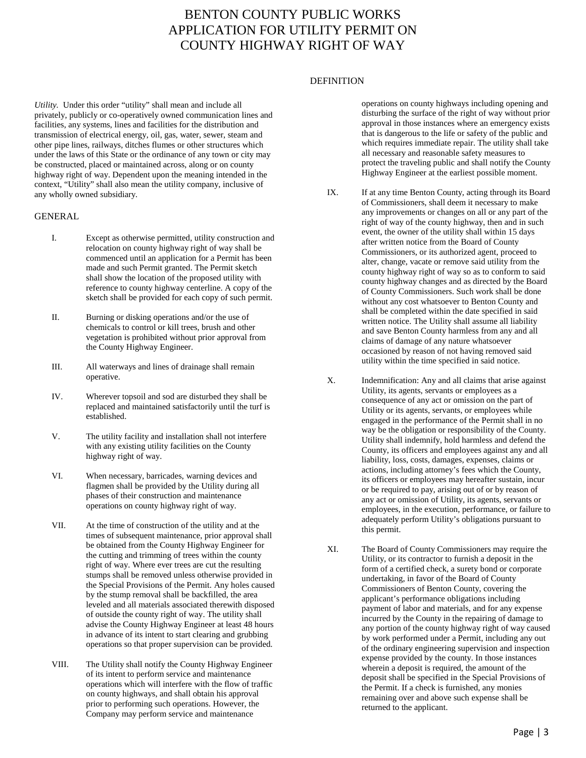### BENTON COUNTY PUBLIC WORKS APPLICATION FOR UTILITY PERMIT ON COUNTY HIGHWAY RIGHT OF WAY

#### **DEFINITION**

*Utility.* Under this order "utility" shall mean and include all privately, publicly or co-operatively owned communication lines and facilities, any systems, lines and facilities for the distribution and transmission of electrical energy, oil, gas, water, sewer, steam and other pipe lines, railways, ditches flumes or other structures which under the laws of this State or the ordinance of any town or city may be constructed, placed or maintained across, along or on county highway right of way. Dependent upon the meaning intended in the context, "Utility" shall also mean the utility company, inclusive of any wholly owned subsidiary.

#### GENERAL

- I. Except as otherwise permitted, utility construction and relocation on county highway right of way shall be commenced until an application for a Permit has been made and such Permit granted. The Permit sketch shall show the location of the proposed utility with reference to county highway centerline. A copy of the sketch shall be provided for each copy of such permit.
- II. Burning or disking operations and/or the use of chemicals to control or kill trees, brush and other vegetation is prohibited without prior approval from the County Highway Engineer.
- III. All waterways and lines of drainage shall remain operative.
- IV. Wherever topsoil and sod are disturbed they shall be replaced and maintained satisfactorily until the turf is established.
- V. The utility facility and installation shall not interfere with any existing utility facilities on the County highway right of way.
- VI. When necessary, barricades, warning devices and flagmen shall be provided by the Utility during all phases of their construction and maintenance operations on county highway right of way.
- VII. At the time of construction of the utility and at the times of subsequent maintenance, prior approval shall be obtained from the County Highway Engineer for the cutting and trimming of trees within the county right of way. Where ever trees are cut the resulting stumps shall be removed unless otherwise provided in the Special Provisions of the Permit. Any holes caused by the stump removal shall be backfilled, the area leveled and all materials associated therewith disposed of outside the county right of way. The utility shall advise the County Highway Engineer at least 48 hours in advance of its intent to start clearing and grubbing operations so that proper supervision can be provided.
- VIII. The Utility shall notify the County Highway Engineer of its intent to perform service and maintenance operations which will interfere with the flow of traffic on county highways, and shall obtain his approval prior to performing such operations. However, the Company may perform service and maintenance

operations on county highways including opening and disturbing the surface of the right of way without prior approval in those instances where an emergency exists that is dangerous to the life or safety of the public and which requires immediate repair. The utility shall take all necessary and reasonable safety measures to protect the traveling public and shall notify the County Highway Engineer at the earliest possible moment.

- IX. If at any time Benton County, acting through its Board of Commissioners, shall deem it necessary to make any improvements or changes on all or any part of the right of way of the county highway, then and in such event, the owner of the utility shall within 15 days after written notice from the Board of County Commissioners, or its authorized agent, proceed to alter, change, vacate or remove said utility from the county highway right of way so as to conform to said county highway changes and as directed by the Board of County Commissioners. Such work shall be done without any cost whatsoever to Benton County and shall be completed within the date specified in said written notice. The Utility shall assume all liability and save Benton County harmless from any and all claims of damage of any nature whatsoever occasioned by reason of not having removed said utility within the time specified in said notice.
- X. Indemnification: Any and all claims that arise against Utility, its agents, servants or employees as a consequence of any act or omission on the part of Utility or its agents, servants, or employees while engaged in the performance of the Permit shall in no way be the obligation or responsibility of the County. Utility shall indemnify, hold harmless and defend the County, its officers and employees against any and all liability, loss, costs, damages, expenses, claims or actions, including attorney's fees which the County, its officers or employees may hereafter sustain, incur or be required to pay, arising out of or by reason of any act or omission of Utility, its agents, servants or employees, in the execution, performance, or failure to adequately perform Utility's obligations pursuant to this permit.
- XI. The Board of County Commissioners may require the Utility, or its contractor to furnish a deposit in the form of a certified check, a surety bond or corporate undertaking, in favor of the Board of County Commissioners of Benton County, covering the applicant's performance obligations including payment of labor and materials, and for any expense incurred by the County in the repairing of damage to any portion of the county highway right of way caused by work performed under a Permit, including any out of the ordinary engineering supervision and inspection expense provided by the county. In those instances wherein a deposit is required, the amount of the deposit shall be specified in the Special Provisions of the Permit. If a check is furnished, any monies remaining over and above such expense shall be returned to the applicant.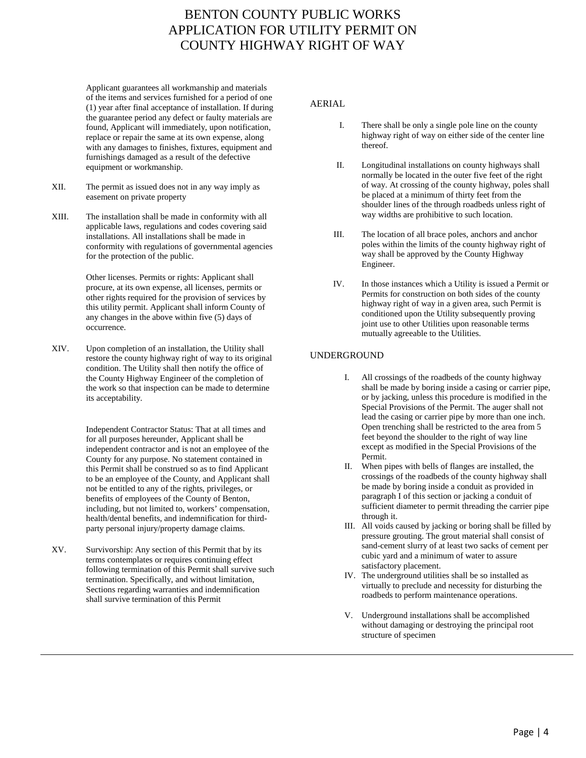### BENTON COUNTY PUBLIC WORKS APPLICATION FOR UTILITY PERMIT ON COUNTY HIGHWAY RIGHT OF WAY

Applicant guarantees all workmanship and materials of the items and services furnished for a period of one (1) year after final acceptance of installation. If during the guarantee period any defect or faulty materials are found, Applicant will immediately, upon notification, replace or repair the same at its own expense, along with any damages to finishes, fixtures, equipment and furnishings damaged as a result of the defective equipment or workmanship.

- XII. The permit as issued does not in any way imply as easement on private property
- XIII. The installation shall be made in conformity with all applicable laws, regulations and codes covering said installations. All installations shall be made in conformity with regulations of governmental agencies for the protection of the public.

Other licenses. Permits or rights: Applicant shall procure, at its own expense, all licenses, permits or other rights required for the provision of services by this utility permit. Applicant shall inform County of any changes in the above within five (5) days of occurrence.

XIV. Upon completion of an installation, the Utility shall restore the county highway right of way to its original condition. The Utility shall then notify the office of the County Highway Engineer of the completion of the work so that inspection can be made to determine its acceptability.

> Independent Contractor Status: That at all times and for all purposes hereunder, Applicant shall be independent contractor and is not an employee of the County for any purpose. No statement contained in this Permit shall be construed so as to find Applicant to be an employee of the County, and Applicant shall not be entitled to any of the rights, privileges, or benefits of employees of the County of Benton, including, but not limited to, workers' compensation, health/dental benefits, and indemnification for thirdparty personal injury/property damage claims.

XV. Survivorship: Any section of this Permit that by its terms contemplates or requires continuing effect following termination of this Permit shall survive such termination. Specifically, and without limitation, Sections regarding warranties and indemnification shall survive termination of this Permit

#### AERIAL

- I. There shall be only a single pole line on the county highway right of way on either side of the center line thereof.
- II. Longitudinal installations on county highways shall normally be located in the outer five feet of the right of way. At crossing of the county highway, poles shall be placed at a minimum of thirty feet from the shoulder lines of the through roadbeds unless right of way widths are prohibitive to such location.
- III. The location of all brace poles, anchors and anchor poles within the limits of the county highway right of way shall be approved by the County Highway Engineer.
- IV. In those instances which a Utility is issued a Permit or Permits for construction on both sides of the county highway right of way in a given area, such Permit is conditioned upon the Utility subsequently proving joint use to other Utilities upon reasonable terms mutually agreeable to the Utilities.

#### UNDERGROUND

- I. All crossings of the roadbeds of the county highway shall be made by boring inside a casing or carrier pipe, or by jacking, unless this procedure is modified in the Special Provisions of the Permit. The auger shall not lead the casing or carrier pipe by more than one inch. Open trenching shall be restricted to the area from 5 feet beyond the shoulder to the right of way line except as modified in the Special Provisions of the Permit.
- II. When pipes with bells of flanges are installed, the crossings of the roadbeds of the county highway shall be made by boring inside a conduit as provided in paragraph I of this section or jacking a conduit of sufficient diameter to permit threading the carrier pipe through it.
- III. All voids caused by jacking or boring shall be filled by pressure grouting. The grout material shall consist of sand-cement slurry of at least two sacks of cement per cubic yard and a minimum of water to assure satisfactory placement.
- IV. The underground utilities shall be so installed as virtually to preclude and necessity for disturbing the roadbeds to perform maintenance operations.
- V. Underground installations shall be accomplished without damaging or destroying the principal root structure of specimen